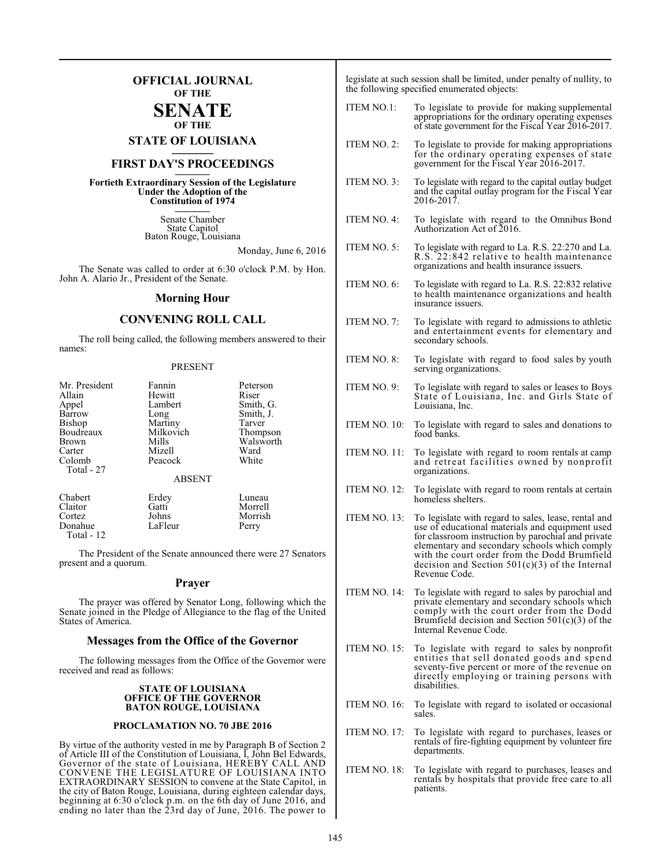## **OFFICIAL JOURNAL OF THE SENATE**

## **OF THE**

**STATE OF LOUISIANA \_\_\_\_\_\_\_**

# **FIRST DAY'S PROCEEDINGS \_\_\_\_\_\_\_**

**Fortieth Extraordinary Session of the Legislature Under the Adoption of the Constitution of 1974 \_\_\_\_\_\_\_**

> Senate Chamber State Capitol Baton Rouge, Louisiana

> > Monday, June 6, 2016

The Senate was called to order at 6:30 o'clock P.M. by Hon. John A. Alario Jr., President of the Senate.

#### **Morning Hour**

#### **CONVENING ROLL CALL**

The roll being called, the following members answered to their names:

#### PRESENT

| Mr. President | Fannin        | Peterson  |
|---------------|---------------|-----------|
| Allain        | Hewitt        | Riser     |
| Appel         | Lambert       | Smith, G. |
| Barrow        | Long          | Smith, J. |
| <b>Bishop</b> | Martiny       | Tarver    |
| Boudreaux     | Milkovich     | Thompson  |
| <b>Brown</b>  | Mills         | Walsworth |
| Carter        | Mizell        | Ward      |
| Colomb        | Peacock       | White     |
| Total - 27    |               |           |
|               | <b>ABSENT</b> |           |
| Chabert       | Erdey         | Luneau    |
| Claitor       | Gatti         | Morrell   |
| Cortez        | Johns         | Morrish   |
| Donahue       | LaFleur       | Perry     |
| Total - 12    |               |           |

The President of the Senate announced there were 27 Senators present and a quorum.

#### **Prayer**

The prayer was offered by Senator Long, following which the Senate joined in the Pledge of Allegiance to the flag of the United States of America.

#### **Messages from the Office of the Governor**

The following messages from the Office of the Governor were received and read as follows:

#### **STATE OF LOUISIANA OFFICE OF THE GOVERNOR BATON ROUGE, LOUISIANA**

#### **PROCLAMATION NO. 70 JBE 2016**

By virtue of the authority vested in me by Paragraph B of Section 2 of Article III of the Constitution of Louisiana, I, John Bel Edwards, Governor of the state of Louisiana, HEREBY CALL AND CONVENE THE LEGISLATURE OF LOUISIANA INTO EXTRAORDINARY SESSION to convene at the State Capitol, in the city of Baton Rouge, Louisiana, during eighteen calendar days, beginning at 6:30 o'clock p.m. on the 6th day of June 2016, and ending no later than the 23rd day of June, 2016. The power to

legislate at such session shall be limited, under penalty of nullity, to the following specified enumerated objects:

- ITEM NO.1: To legislate to provide for making supplemental appropriations for the ordinary operating expenses of state government for the Fiscal Year 2016-2017.
- ITEM NO. 2: To legislate to provide for making appropriations for the ordinary operating expenses of state government for the Fiscal Year 2016-2017.
- ITEM NO. 3: To legislate with regard to the capital outlay budget and the capital outlay program for the Fiscal Year 2016-2017.
- ITEM NO. 4: To legislate with regard to the Omnibus Bond Authorization Act of 2016.
- ITEM NO. 5: To legislate with regard to La. R.S. 22:270 and La. R.S. 22:842 relative to health maintenance organizations and health insurance issuers.
- ITEM NO. 6: To legislate with regard to La. R.S. 22:832 relative to health maintenance organizations and health insurance issuers.
- ITEM NO. 7: To legislate with regard to admissions to athletic and entertainment events for elementary and secondary schools.
- ITEM NO. 8: To legislate with regard to food sales by youth serving organizations.
- ITEM NO. 9: To legislate with regard to sales or leases to Boys State of Louisiana, Inc. and Girls State of Louisiana, Inc.
- ITEM NO. 10: To legislate with regard to sales and donations to food banks.
- ITEM NO. 11: To legislate with regard to room rentals at camp and retreat facilities owned by nonprofit organizations.
- ITEM NO. 12: To legislate with regard to room rentals at certain homeless shelters.
- ITEM NO. 13: To legislate with regard to sales, lease, rental and use of educational materials and equipment used for classroom instruction by parochial and private elementary and secondary schools which comply with the court order from the Dodd Brumfield decision and Section 501(c)(3) of the Internal Revenue Code.
- ITEM NO. 14: To legislate with regard to sales by parochial and private elementary and secondary schools which comply with the court order from the Dodd Brumfield decision and Section  $501(c)(3)$  of the Internal Revenue Code.
- ITEM NO. 15: To legislate with regard to sales by nonprofit entities that sell donated goods and spend seventy-five percent or more of the revenue on directly employing or training persons with disabilities.
- ITEM NO. 16: To legislate with regard to isolated or occasional sales.
- ITEM NO. 17: To legislate with regard to purchases, leases or rentals of fire-fighting equipment by volunteer fire departments.
- ITEM NO. 18: To legislate with regard to purchases, leases and rentals by hospitals that provide free care to all patients.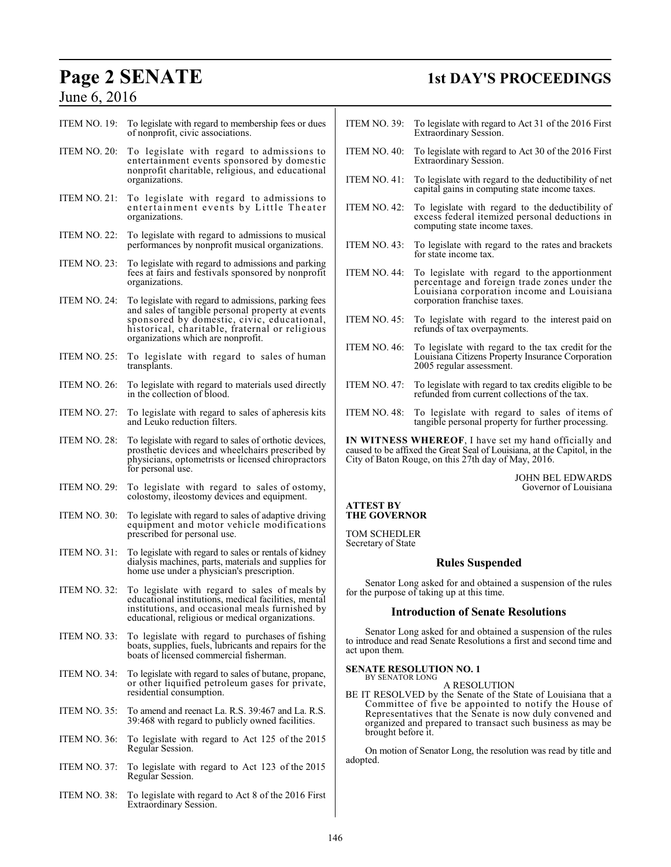# June 6, 2016

# **Page 2 SENATE 1st DAY'S PROCEEDINGS**

| ITEM NO. 19:        | To legislate with regard to membership fees or dues<br>of nonprofit, civic associations.                                                                                                                                                        | IΤ             |
|---------------------|-------------------------------------------------------------------------------------------------------------------------------------------------------------------------------------------------------------------------------------------------|----------------|
| ITEM NO. 20:        | To legislate with regard to admissions to<br>entertainment events sponsored by domestic<br>nonprofit charitable, religious, and educational<br>organizations.                                                                                   | IΤ<br>IT       |
| ITEM NO. 21:        | To legislate with regard to admissions to<br>entertainment events by Little Theater<br>organizations.                                                                                                                                           | IΤ             |
| ITEM NO. 22:        | To legislate with regard to admissions to musical<br>performances by nonprofit musical organizations.                                                                                                                                           | IΤ             |
| ITEM NO. 23:        | To legislate with regard to admissions and parking<br>fees at fairs and festivals sponsored by nonprofit<br>organizations.                                                                                                                      | IΤ             |
| ITEM NO. 24:        | To legislate with regard to admissions, parking fees<br>and sales of tangible personal property at events<br>sponsored by domestic, civic, educational,<br>historical, charitable, fraternal or religious<br>organizations which are nonprofit. | IΤ<br>IΤ       |
| ITEM NO. 25:        | To legislate with regard to sales of human<br>transplants.                                                                                                                                                                                      |                |
| ITEM NO. 26:        | To legislate with regard to materials used directly<br>in the collection of blood.                                                                                                                                                              | IΤ             |
| <b>ITEM NO. 27:</b> | To legislate with regard to sales of apheresis kits<br>and Leuko reduction filters.                                                                                                                                                             | IΤ             |
| ITEM NO. 28:        | To legislate with regard to sales of orthotic devices,<br>prosthetic devices and wheelchairs prescribed by<br>physicians, optometrists or licensed chiropractors<br>for personal use.                                                           | IN<br>ca<br>Ci |
| <b>ITEM NO. 29:</b> | To legislate with regard to sales of ostomy,<br>colostomy, ileostomy devices and equipment.                                                                                                                                                     |                |
| ITEM NO. 30:        | To legislate with regard to sales of adaptive driving<br>equipment and motor vehicle modifications<br>prescribed for personal use.                                                                                                              | A<br>Tl<br>T(  |
| <b>ITEM NO. 31:</b> | To legislate with regard to sales or rentals of kidney<br>dialysis machines, parts, materials and supplies for<br>home use under a physician's prescription.                                                                                    | Se             |
| ITEM NO. 32:        | To legislate with regard to sales of meals by<br>educational institutions, medical facilities, mental<br>institutions, and occasional meals furnished by<br>educational, religious or medical organizations.                                    | fo:            |
| ITEM NO. 33:        | To legislate with regard to purchases of fishing<br>boats, supplies, fuels, lubricants and repairs for the<br>boats of licensed commercial fisherman.                                                                                           | to<br>ac       |
| ITEM NO. 34:        | To legislate with regard to sales of butane, propane,<br>or other liquified petroleum gases for private,<br>residential consumption.                                                                                                            | SI<br>BI       |
| ITEM NO. 35:        | To amend and reenact La. R.S. 39:467 and La. R.S.<br>39:468 with regard to publicly owned facilities.                                                                                                                                           |                |
| ITEM NO. 36:        | To legislate with regard to Act 125 of the 2015<br>Regular Session.                                                                                                                                                                             |                |
| <b>ITEM NO. 37:</b> | To legislate with regard to Act 123 of the 2015<br>Regular Session.                                                                                                                                                                             | ad             |
| ITEM NO. 38:        | To legislate with regard to Act 8 of the 2016 First<br>Extraordinary Session.                                                                                                                                                                   |                |
|                     |                                                                                                                                                                                                                                                 |                |

| <b>ITEM NO. 39:</b>                                                                                                                                                                      | To legislate with regard to Act 31 of the 2016 First<br>Extraordinary Session.                                                                                              |  |
|------------------------------------------------------------------------------------------------------------------------------------------------------------------------------------------|-----------------------------------------------------------------------------------------------------------------------------------------------------------------------------|--|
| ITEM NO. 40:                                                                                                                                                                             | To legislate with regard to Act 30 of the 2016 First<br>Extraordinary Session.                                                                                              |  |
| ITEM NO. 41:                                                                                                                                                                             | To legislate with regard to the deductibility of net<br>capital gains in computing state income taxes.                                                                      |  |
| <b>ITEM NO. 42:</b>                                                                                                                                                                      | To legislate with regard to the deductibility of<br>excess federal itemized personal deductions in<br>computing state income taxes.                                         |  |
| ITEM NO. $43$ :                                                                                                                                                                          | To legislate with regard to the rates and brackets<br>for state income tax.                                                                                                 |  |
| ITEM NO. 44:                                                                                                                                                                             | To legislate with regard to the apportionment<br>percentage and foreign trade zones under the<br>Louisiana corporation income and Louisiana<br>corporation franchise taxes. |  |
| ITEM NO. 45:                                                                                                                                                                             | To legislate with regard to the interest paid on<br>refunds of tax overpayments.                                                                                            |  |
| ITEM NO. 46:                                                                                                                                                                             | To legislate with regard to the tax credit for the<br>Louisiana Citizens Property Insurance Corporation<br>2005 regular assessment.                                         |  |
| <b>ITEM NO. 47:</b>                                                                                                                                                                      | To legislate with regard to tax credits eligible to be<br>refunded from current collections of the tax.                                                                     |  |
| ITEM NO. 48:                                                                                                                                                                             | To legislate with regard to sales of items of<br>tangible personal property for further processing.                                                                         |  |
| IN WITNESS WHEREOF, I have set my hand officially and<br>caused to be affixed the Great Seal of Louisiana, at the Capitol, in the<br>City of Baton Rouge, on this 27th day of May, 2016. |                                                                                                                                                                             |  |
|                                                                                                                                                                                          | <b>JOHN BEL EDWARDS</b><br>Governor of Louisiana                                                                                                                            |  |

#### **ATTEST BY THE GOVERNOR**

OM SCHEDLER ecretary of State

## **Rules Suspended**

Senator Long asked for and obtained a suspension of the rules for the purpose of taking up at this time.

#### **Introduction of Senate Resolutions**

Senator Long asked for and obtained a suspension of the rules introduce and read Senate Resolutions a first and second time and act upon them.

# **SENATE RESOLUTION NO. 1** BY SENATOR LONG

A RESOLUTION

BE IT RESOLVED by the Senate of the State of Louisiana that a Committee of five be appointed to notify the House of Representatives that the Senate is now duly convened and organized and prepared to transact such business as may be brought before it.

On motion of Senator Long, the resolution was read by title and lopted.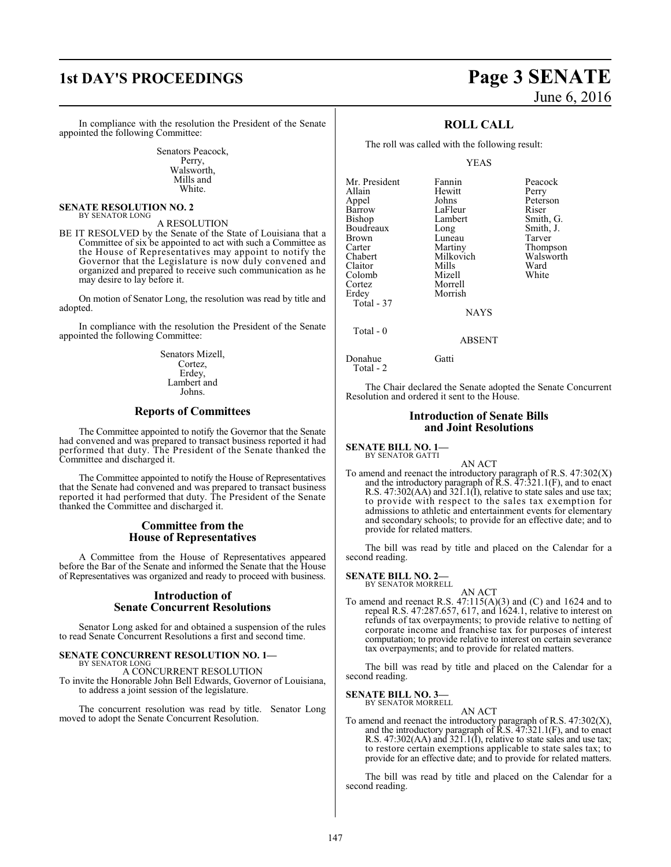# **1st DAY'S PROCEEDINGS Page 3 SENATE**

Senators Peacock, Perry, Walsworth, Mills and White.

#### **SENATE RESOLUTION NO. 2** BY SENATOR LONG

#### A RESOLUTION

BE IT RESOLVED by the Senate of the State of Louisiana that a Committee of six be appointed to act with such a Committee as the House of Representatives may appoint to notify the Governor that the Legislature is now duly convened and organized and prepared to receive such communication as he may desire to lay before it.

On motion of Senator Long, the resolution was read by title and adopted.

In compliance with the resolution the President of the Senate appointed the following Committee:

> Senators Mizell, Cortez, Erdey, Lambert and Johns.

#### **Reports of Committees**

The Committee appointed to notify the Governor that the Senate had convened and was prepared to transact business reported it had performed that duty. The President of the Senate thanked the Committee and discharged it.

The Committee appointed to notify the House of Representatives that the Senate had convened and was prepared to transact business reported it had performed that duty. The President of the Senate thanked the Committee and discharged it.

#### **Committee from the House of Representatives**

A Committee from the House of Representatives appeared before the Bar of the Senate and informed the Senate that the House of Representatives was organized and ready to proceed with business.

#### **Introduction of Senate Concurrent Resolutions**

Senator Long asked for and obtained a suspension of the rules to read Senate Concurrent Resolutions a first and second time.

#### **SENATE CONCURRENT RESOLUTION NO. 1—** BY SENATOR LONG

A CONCURRENT RESOLUTION To invite the Honorable John Bell Edwards, Governor of Louisiana, to address a joint session of the legislature.

The concurrent resolution was read by title. Senator Long moved to adopt the Senate Concurrent Resolution.

# June 6, 2016

## **ROLL CALL**

The roll was called with the following result:

Hewitt<br>Johns

#### YEAS

Mr. President Fannin Peacock<br>Allain Hewitt Perry Appel Johns Peterson Barrow LaFleur<br>Bishop Lambert Boudreaux Long Smith,<br>Brown Luneau Tarver Brown Luneau<br>Carter Martiny Carter **Martiny** Thompson<br>Chabert Milkovich Walsworth Claitor Mills Ward<br>Colomb Mizell White Colomb Cortez Morrell Total - 37

Lambert Smith, G.<br>
Long Smith, J. Milkovich Walsworth<br>
Mills Ward

**NAYS** 

ABSENT

Total - 0

Donahue Gatti Total - 2

Morrish

The Chair declared the Senate adopted the Senate Concurrent Resolution and ordered it sent to the House.

#### **Introduction of Senate Bills and Joint Resolutions**

#### **SENATE BILL NO. 1—** BY SENATOR GATTI

AN ACT

To amend and reenact the introductory paragraph of R.S.  $47:302(X)$ and the introductory paragraph of  $\overline{R}$ .S.  $\overline{4}$ 7:321.1(F), and to enact R.S. 47:302(AA) and 321.1(I), relative to state sales and use tax; to provide with respect to the sales tax exemption for admissions to athletic and entertainment events for elementary and secondary schools; to provide for an effective date; and to provide for related matters.

The bill was read by title and placed on the Calendar for a second reading.

#### **SENATE BILL NO. 2—**

BY SENATOR MORRELL AN ACT

To amend and reenact R.S. 47:115(A)(3) and (C) and 1624 and to repeal R.S. 47:287.657, 617, and 1624.1, relative to interest on refunds of tax overpayments; to provide relative to netting of corporate income and franchise tax for purposes of interest computation; to provide relative to interest on certain severance tax overpayments; and to provide for related matters.

The bill was read by title and placed on the Calendar for a second reading.

#### **SENATE BILL NO. 3—**

BY SENATOR MORRELL AN ACT

To amend and reenact the introductory paragraph of R.S. 47:302(X), and the introductory paragraph of R.S. 47:321.1(F), and to enact R.S. 47:302(AA) and  $321.1(\overline{I})$ , relative to state sales and use tax; to restore certain exemptions applicable to state sales tax; to provide for an effective date; and to provide for related matters.

The bill was read by title and placed on the Calendar for a second reading.